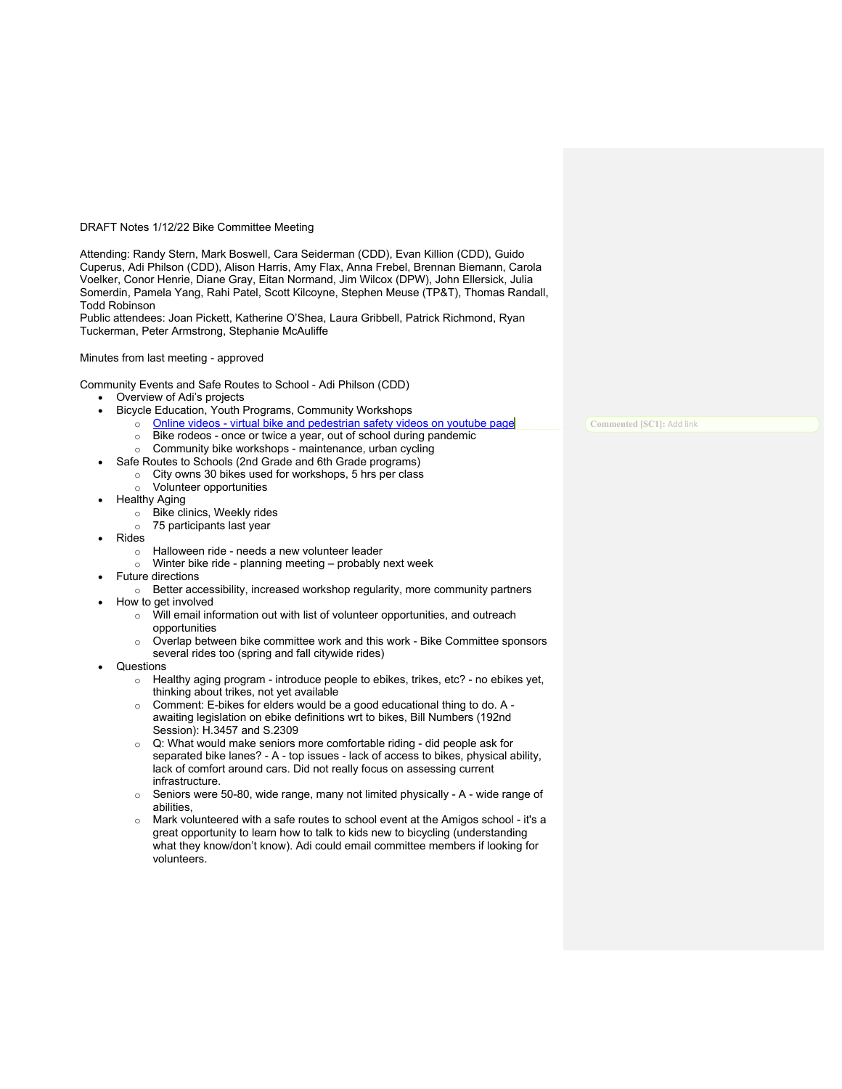### DRAFT Notes 1/12/22 Bike Committee Meeting

Attending: Randy Stern, Mark Boswell, Cara Seiderman (CDD), Evan Killion (CDD), Guido Cuperus, Adi Philson (CDD), Alison Harris, Amy Flax, Anna Frebel, Brennan Biemann, Carola Voelker, Conor Henrie, Diane Gray, Eitan Normand, Jim Wilcox (DPW), John Ellersick, Julia Somerdin, Pamela Yang, Rahi Patel, Scott Kilcoyne, Stephen Meuse (TP&T), Thomas Randall, Todd Robinson

Public attendees: Joan Pickett, Katherine O'Shea, Laura Gribbell, Patrick Richmond, Ryan Tuckerman, Peter Armstrong, Stephanie McAuliffe

### Minutes from last meeting - approved

Community Events and Safe Routes to School - Adi Philson (CDD)

- Overview of Adi's projects
- Bicycle Education, Youth Programs, Community Workshops
	- o Online videos virtual bike and pedestrian safety videos on youtube page
	- o Bike rodeos once or twice a year, out of school during pandemic
	- Community bike workshops maintenance, urban cycling
- Safe Routes to Schools (2nd Grade and 6th Grade programs)
	- o City owns 30 bikes used for workshops, 5 hrs per class
	- o Volunteer opportunities
- Healthy Aging
	- o Bike clinics, Weekly rides
	- o 75 participants last year
	- Rides
		- o Halloween ride needs a new volunteer leader
		- $\circ$  Winter bike ride planning meeting probably next week
- Future directions
	- o Better accessibility, increased workshop regularity, more community partners
- How to get involved
	- o Will email information out with list of volunteer opportunities, and outreach opportunities
	- o Overlap between bike committee work and this work Bike Committee sponsors several rides too (spring and fall citywide rides)
- Questions
	- o Healthy aging program introduce people to ebikes, trikes, etc? no ebikes yet, thinking about trikes, not yet available
	- o Comment: E-bikes for elders would be a good educational thing to do. A awaiting legislation on ebike definitions wrt to bikes, Bill Numbers (192nd Session): H.3457 and S.2309
	- o Q: What would make seniors more comfortable riding did people ask for separated bike lanes? - A - top issues - lack of access to bikes, physical ability, lack of comfort around cars. Did not really focus on assessing current infrastructure.
	- $\circ$  Seniors were 50-80, wide range, many not limited physically A wide range of abilities,
	- $\circ$  Mark volunteered with a safe routes to school event at the Amigos school it's a great opportunity to learn how to talk to kids new to bicycling (understanding what they know/don't know). Adi could email committee members if looking for volunteers.

**Commented [SC1]:** Add link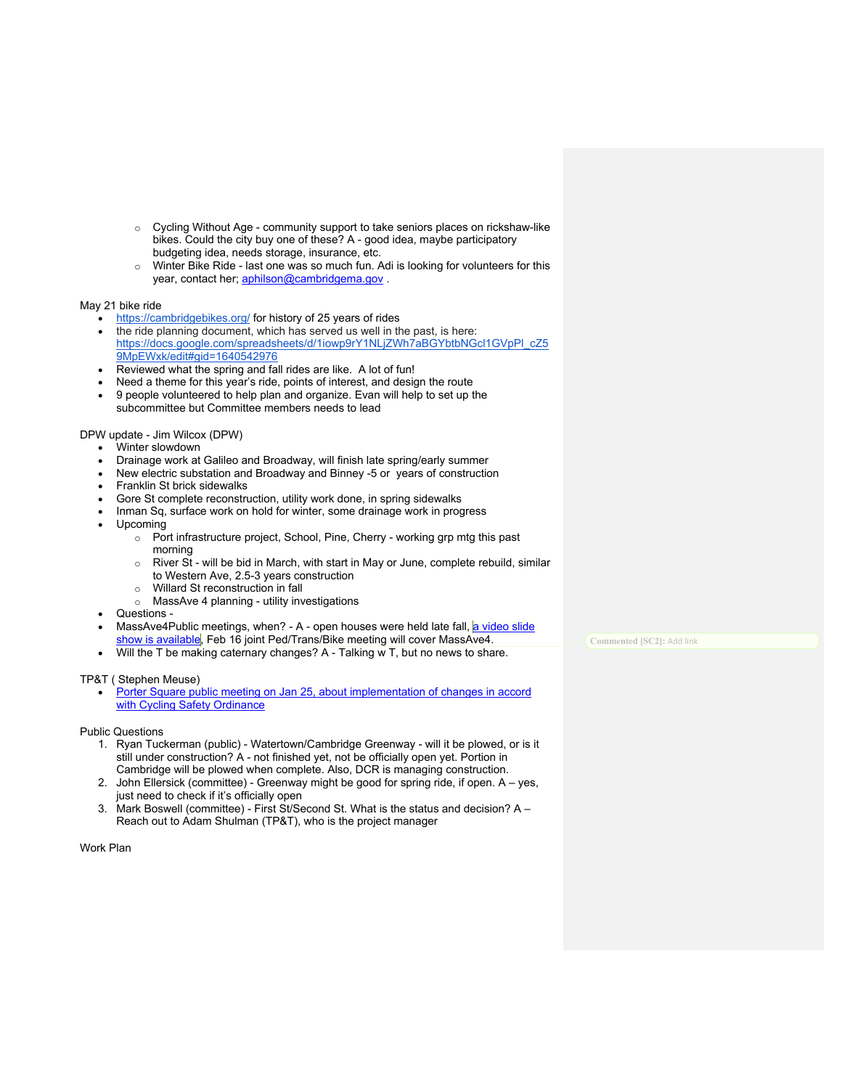- o Cycling Without Age community support to take seniors places on rickshaw-like bikes. Could the city buy one of these? A - good idea, maybe participatory budgeting idea, needs storage, insurance, etc.
- o Winter Bike Ride last one was so much fun. Adi is looking for volunteers for this year, contact her; aphilson@cambridgema.gov .

## May 21 bike ride

- https://cambridgebikes.org/ for history of 25 years of rides
- the ride planning document, which has served us well in the past, is here: https://docs.google.com/spreadsheets/d/1iowp9rY1NLjZWh7aBGYbtbNGcl1GVpPl\_cZ5 9MpEWxk/edit#gid=1640542976
- Reviewed what the spring and fall rides are like. A lot of fun!
- Need a theme for this year's ride, points of interest, and design the route
- 9 people volunteered to help plan and organize. Evan will help to set up the subcommittee but Committee members needs to lead

## DPW update - Jim Wilcox (DPW)

- Winter slowdown
- Drainage work at Galileo and Broadway, will finish late spring/early summer
- New electric substation and Broadway and Binney -5 or years of construction
- Franklin St brick sidewalks
- Gore St complete reconstruction, utility work done, in spring sidewalks
- Inman Sq, surface work on hold for winter, some drainage work in progress
- Upcoming
	- o Port infrastructure project, School, Pine, Cherry working grp mtg this past morning
	- $\circ$  River St will be bid in March, with start in May or June, complete rebuild, similar to Western Ave, 2.5-3 years construction
	- o Willard St reconstruction in fall
	- o MassAve 4 planning utility investigations
- Questions -
- MassAve4Public meetings, when? A open houses were held late fall, a video slide
- show is available, Feb 16 joint Ped/Trans/Bike meeting will cover MassAve4. Will the T be making caternary changes? A - Talking w T, but no news to share.

# TP&T ( Stephen Meuse)

Porter Square public meeting on Jan 25, about implementation of changes in accord with Cycling Safety Ordinance

Public Questions

- 1. Ryan Tuckerman (public) Watertown/Cambridge Greenway will it be plowed, or is it still under construction? A - not finished yet, not be officially open yet. Portion in Cambridge will be plowed when complete. Also, DCR is managing construction.
- 2. John Ellersick (committee) Greenway might be good for spring ride, if open. A yes, just need to check if it's officially open
- 3. Mark Boswell (committee) First St/Second St. What is the status and decision? A Reach out to Adam Shulman (TP&T), who is the project manager

Work Plan

**Commented [SC2]:** Add link